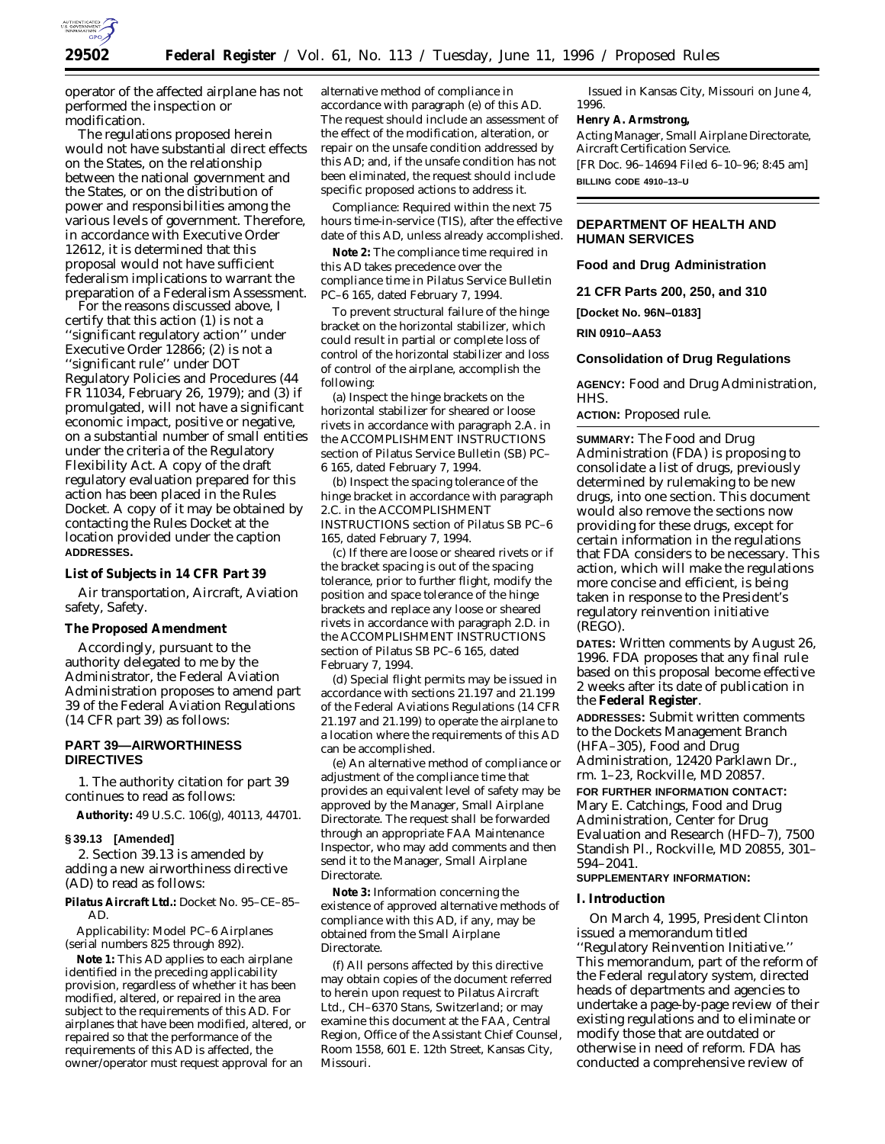

operator of the affected airplane has not performed the inspection or modification.

The regulations proposed herein would not have substantial direct effects on the States, on the relationship between the national government and the States, or on the distribution of power and responsibilities among the various levels of government. Therefore, in accordance with Executive Order 12612, it is determined that this proposal would not have sufficient federalism implications to warrant the preparation of a Federalism Assessment.

For the reasons discussed above, I certify that this action (1) is not a 'significant regulatory action'' under Executive Order 12866; (2) is not a ''significant rule'' under DOT Regulatory Policies and Procedures (44 FR 11034, February 26, 1979); and (3) if promulgated, will not have a significant economic impact, positive or negative, on a substantial number of small entities under the criteria of the Regulatory Flexibility Act. A copy of the draft regulatory evaluation prepared for this action has been placed in the Rules Docket. A copy of it may be obtained by contacting the Rules Docket at the location provided under the caption **ADDRESSES.**

### **List of Subjects in 14 CFR Part 39**

Air transportation, Aircraft, Aviation safety, Safety.

**The Proposed Amendment**

Accordingly, pursuant to the authority delegated to me by the Administrator, the Federal Aviation Administration proposes to amend part 39 of the Federal Aviation Regulations (14 CFR part 39) as follows:

## **PART 39—AIRWORTHINESS DIRECTIVES**

1. The authority citation for part 39 continues to read as follows:

**Authority:** 49 U.S.C. 106(g), 40113, 44701.

### **§ 39.13 [Amended]**

2. Section 39.13 is amended by adding a new airworthiness directive (AD) to read as follows:

**Pilatus Aircraft Ltd.:** Docket No. 95–CE–85– AD.

*Applicability:* Model PC–6 Airplanes (serial numbers 825 through 892).

**Note 1:** This AD applies to each airplane identified in the preceding applicability provision, regardless of whether it has been modified, altered, or repaired in the area subject to the requirements of this AD. For airplanes that have been modified, altered, or repaired so that the performance of the requirements of this AD is affected, the owner/operator must request approval for an

alternative method of compliance in accordance with paragraph (e) of this AD. The request should include an assessment of the effect of the modification, alteration, or repair on the unsafe condition addressed by this AD; and, if the unsafe condition has not been eliminated, the request should include specific proposed actions to address it.

*Compliance:* Required within the next 75 hours time-in-service (TIS), after the effective date of this AD, unless already accomplished.

**Note 2:** The compliance time required in this AD takes precedence over the compliance time in Pilatus Service Bulletin PC–6 165, dated February 7, 1994.

To prevent structural failure of the hinge bracket on the horizontal stabilizer, which could result in partial or complete loss of control of the horizontal stabilizer and loss of control of the airplane, accomplish the following:

(a) Inspect the hinge brackets on the horizontal stabilizer for sheared or loose rivets in accordance with paragraph 2.A. in the ACCOMPLISHMENT INSTRUCTIONS section of Pilatus Service Bulletin (SB) PC– 6 165, dated February 7, 1994.

(b) Inspect the spacing tolerance of the hinge bracket in accordance with paragraph 2.C. in the ACCOMPLISHMENT INSTRUCTIONS section of Pilatus SB PC–6 165, dated February 7, 1994.

(c) If there are loose or sheared rivets or if the bracket spacing is out of the spacing tolerance, prior to further flight, modify the position and space tolerance of the hinge brackets and replace any loose or sheared rivets in accordance with paragraph 2.D. in the ACCOMPLISHMENT INSTRUCTIONS section of Pilatus SB PC–6 165, dated February 7, 1994.

(d) Special flight permits may be issued in accordance with sections 21.197 and 21.199 of the Federal Aviations Regulations (14 CFR 21.197 and 21.199) to operate the airplane to a location where the requirements of this AD can be accomplished.

(e) An alternative method of compliance or adjustment of the compliance time that provides an equivalent level of safety may be approved by the Manager, Small Airplane Directorate. The request shall be forwarded through an appropriate FAA Maintenance Inspector, who may add comments and then send it to the Manager, Small Airplane Directorate.

**Note 3:** Information concerning the existence of approved alternative methods of compliance with this AD, if any, may be obtained from the Small Airplane Directorate.

(f) All persons affected by this directive may obtain copies of the document referred to herein upon request to Pilatus Aircraft Ltd., CH–6370 Stans, Switzerland; or may examine this document at the FAA, Central Region, Office of the Assistant Chief Counsel, Room 1558, 601 E. 12th Street, Kansas City, Missouri.

Issued in Kansas City, Missouri on June 4, 1996.

**Henry A. Armstrong,**

*Acting Manager, Small Airplane Directorate, Aircraft Certification Service.* [FR Doc. 96–14694 Filed 6–10–96; 8:45 am]

**BILLING CODE 4910–13–U**

# **DEPARTMENT OF HEALTH AND HUMAN SERVICES**

**Food and Drug Administration**

**21 CFR Parts 200, 250, and 310**

**[Docket No. 96N–0183]**

**RIN 0910–AA53**

### **Consolidation of Drug Regulations**

**AGENCY:** Food and Drug Administration, HHS.

**ACTION:** Proposed rule.

**SUMMARY:** The Food and Drug Administration (FDA) is proposing to consolidate a list of drugs, previously determined by rulemaking to be new drugs, into one section. This document would also remove the sections now providing for these drugs, except for certain information in the regulations that FDA considers to be necessary. This action, which will make the regulations more concise and efficient, is being taken in response to the President's regulatory reinvention initiative (REGO).

**DATES:** Written comments by August 26, 1996. FDA proposes that any final rule based on this proposal become effective 2 weeks after its date of publication in the **Federal Register**.

**ADDRESSES:** Submit written comments to the Dockets Management Branch (HFA–305), Food and Drug Administration, 12420 Parklawn Dr., rm. 1–23, Rockville, MD 20857.

**FOR FURTHER INFORMATION CONTACT:** Mary E. Catchings, Food and Drug Administration, Center for Drug Evaluation and Research (HFD–7), 7500 Standish Pl., Rockville, MD 20855, 301– 594–2041.

# **SUPPLEMENTARY INFORMATION:**

### **I. Introduction**

On March 4, 1995, President Clinton issued a memorandum titled ''Regulatory Reinvention Initiative.'' This memorandum, part of the reform of the Federal regulatory system, directed heads of departments and agencies to undertake a page-by-page review of their existing regulations and to eliminate or modify those that are outdated or otherwise in need of reform. FDA has conducted a comprehensive review of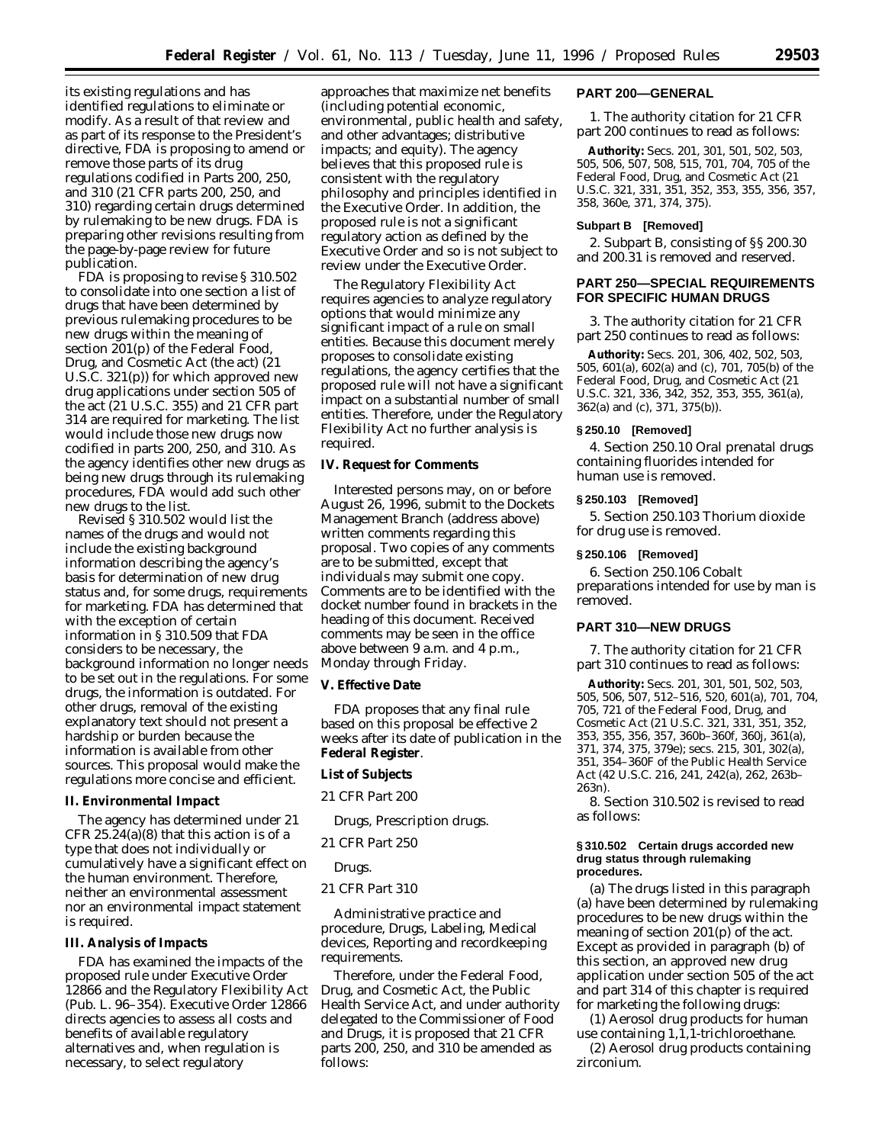its existing regulations and has identified regulations to eliminate or modify. As a result of that review and as part of its response to the President's directive, FDA is proposing to amend or remove those parts of its drug regulations codified in Parts 200, 250, and 310 (21 CFR parts 200, 250, and 310) regarding certain drugs determined by rulemaking to be new drugs. FDA is preparing other revisions resulting from the page-by-page review for future publication.

FDA is proposing to revise § 310.502 to consolidate into one section a list of drugs that have been determined by previous rulemaking procedures to be new drugs within the meaning of section 201(p) of the Federal Food, Drug, and Cosmetic Act (the act) (21 U.S.C. 321(p)) for which approved new drug applications under section 505 of the act (21 U.S.C. 355) and 21 CFR part 314 are required for marketing. The list would include those new drugs now codified in parts 200, 250, and 310. As the agency identifies other new drugs as being new drugs through its rulemaking procedures, FDA would add such other new drugs to the list.

Revised § 310.502 would list the names of the drugs and would not include the existing background information describing the agency's basis for determination of new drug status and, for some drugs, requirements for marketing. FDA has determined that with the exception of certain information in § 310.509 that FDA considers to be necessary, the background information no longer needs to be set out in the regulations. For some drugs, the information is outdated. For other drugs, removal of the existing explanatory text should not present a hardship or burden because the information is available from other sources. This proposal would make the regulations more concise and efficient.

### **II. Environmental Impact**

The agency has determined under 21 CFR 25.24(a)(8) that this action is of a type that does not individually or cumulatively have a significant effect on the human environment. Therefore, neither an environmental assessment nor an environmental impact statement is required.

### **III. Analysis of Impacts**

FDA has examined the impacts of the proposed rule under Executive Order 12866 and the Regulatory Flexibility Act (Pub. L. 96–354). Executive Order 12866 directs agencies to assess all costs and benefits of available regulatory alternatives and, when regulation is necessary, to select regulatory

approaches that maximize net benefits (including potential economic, environmental, public health and safety, and other advantages; distributive impacts; and equity). The agency believes that this proposed rule is consistent with the regulatory philosophy and principles identified in the Executive Order. In addition, the proposed rule is not a significant regulatory action as defined by the Executive Order and so is not subject to review under the Executive Order.

The Regulatory Flexibility Act requires agencies to analyze regulatory options that would minimize any significant impact of a rule on small entities. Because this document merely proposes to consolidate existing regulations, the agency certifies that the proposed rule will not have a significant impact on a substantial number of small entities. Therefore, under the Regulatory Flexibility Act no further analysis is required.

## **IV. Request for Comments**

Interested persons may, on or before August 26, 1996, submit to the Dockets Management Branch (address above) written comments regarding this proposal. Two copies of any comments are to be submitted, except that individuals may submit one copy. Comments are to be identified with the docket number found in brackets in the heading of this document. Received comments may be seen in the office above between 9 a.m. and 4 p.m., Monday through Friday.

### **V. Effective Date**

FDA proposes that any final rule based on this proposal be effective 2 weeks after its date of publication in the **Federal Register**.

## **List of Subjects**

*21 CFR Part 200*

Drugs, Prescription drugs.

### *21 CFR Part 250*

### Drugs.

# *21 CFR Part 310*

Administrative practice and procedure, Drugs, Labeling, Medical devices, Reporting and recordkeeping requirements.

Therefore, under the Federal Food, Drug, and Cosmetic Act, the Public Health Service Act, and under authority delegated to the Commissioner of Food and Drugs, it is proposed that 21 CFR parts 200, 250, and 310 be amended as follows:

### **PART 200—GENERAL**

1. The authority citation for 21 CFR part 200 continues to read as follows:

**Authority:** Secs. 201, 301, 501, 502, 503, 505, 506, 507, 508, 515, 701, 704, 705 of the Federal Food, Drug, and Cosmetic Act (21 U.S.C. 321, 331, 351, 352, 353, 355, 356, 357, 358, 360e, 371, 374, 375).

# **Subpart B [Removed]**

2. Subpart B, consisting of §§ 200.30 and 200.31 is removed and reserved.

# **PART 250—SPECIAL REQUIREMENTS FOR SPECIFIC HUMAN DRUGS**

3. The authority citation for 21 CFR part 250 continues to read as follows:

**Authority:** Secs. 201, 306, 402, 502, 503, 505, 601(a), 602(a) and (c), 701, 705(b) of the Federal Food, Drug, and Cosmetic Act (21 U.S.C. 321, 336, 342, 352, 353, 355, 361(a), 362(a) and (c), 371, 375(b)).

## **§ 250.10 [Removed]**

4. Section 250.10 *Oral prenatal drugs containing fluorides intended for human use* is removed.

# **§ 250.103 [Removed]**

5. Section 250.103 *Thorium dioxide for drug use* is removed.

#### **§ 250.106 [Removed]**

6. Section 250.106 *Cobalt preparations intended for use by man* is removed.

### **PART 310—NEW DRUGS**

7. The authority citation for 21 CFR part 310 continues to read as follows:

**Authority:** Secs. 201, 301, 501, 502, 503, 505, 506, 507, 512–516, 520, 601(a), 701, 704, 705, 721 of the Federal Food, Drug, and Cosmetic Act (21 U.S.C. 321, 331, 351, 352, 353, 355, 356, 357, 360b–360f, 360j, 361(a), 371, 374, 375, 379e); secs. 215, 301, 302(a), 351, 354–360F of the Public Health Service Act (42 U.S.C. 216, 241, 242(a), 262, 263b– 263n).

8. Section 310.502 is revised to read as follows:

#### **§ 310.502 Certain drugs accorded new drug status through rulemaking procedures.**

(a) The drugs listed in this paragraph (a) have been determined by rulemaking procedures to be new drugs within the meaning of section 201(p) of the act. Except as provided in paragraph (b) of this section, an approved new drug application under section 505 of the act and part 314 of this chapter is required for marketing the following drugs:

(1) Aerosol drug products for human use containing 1,1,1-trichloroethane.

(2) Aerosol drug products containing zirconium.